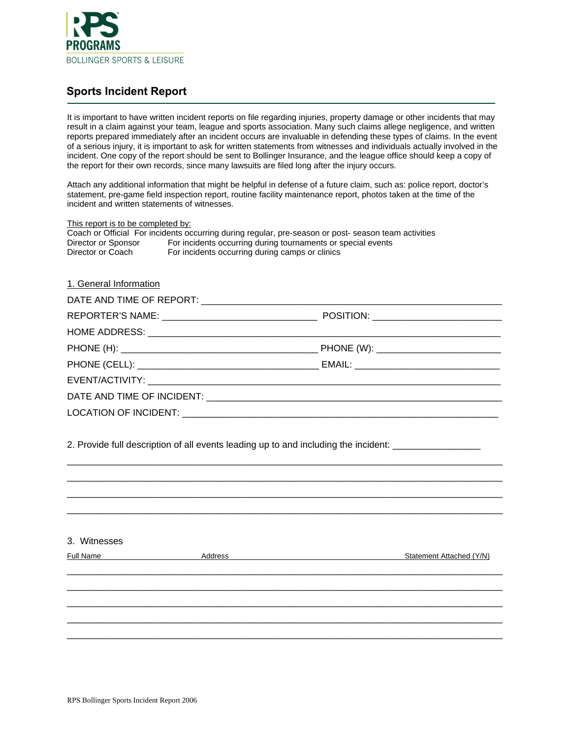

## **Sports Incident Report**

It is important to have written incident reports on file regarding injuries, property damage or other incidents that may result in a claim against your team, league and sports association. Many such claims allege negligence, and written reports prepared immediately after an incident occurs are invaluable in defending these types of claims. In the event of a serious injury, it is important to ask for written statements from witnesses and individuals actually involved in the incident. One copy of the report should be sent to Bollinger Insurance, and the league office should keep a copy of the report for their own records, since many lawsuits are filed long after the injury occurs.

Attach any additional information that might be helpful in defense of a future claim, such as: police report, doctor's statement, pre-game field inspection report, routine facility maintenance report, photos taken at the time of the incident and written statements of witnesses.

| This report is to be completed by:                                                                                                                                                                                            |                                                                                                                                                                                                                                |                          |  |  |  |
|-------------------------------------------------------------------------------------------------------------------------------------------------------------------------------------------------------------------------------|--------------------------------------------------------------------------------------------------------------------------------------------------------------------------------------------------------------------------------|--------------------------|--|--|--|
|                                                                                                                                                                                                                               | Coach or Official For incidents occurring during regular, pre-season or post- season team activities                                                                                                                           |                          |  |  |  |
| Director or Sponsor<br>Director or Coach                                                                                                                                                                                      | For incidents occurring during tournaments or special events<br>For incidents occurring during camps or clinics                                                                                                                |                          |  |  |  |
|                                                                                                                                                                                                                               |                                                                                                                                                                                                                                |                          |  |  |  |
|                                                                                                                                                                                                                               |                                                                                                                                                                                                                                |                          |  |  |  |
| 1. General Information                                                                                                                                                                                                        |                                                                                                                                                                                                                                |                          |  |  |  |
|                                                                                                                                                                                                                               |                                                                                                                                                                                                                                |                          |  |  |  |
|                                                                                                                                                                                                                               |                                                                                                                                                                                                                                |                          |  |  |  |
|                                                                                                                                                                                                                               |                                                                                                                                                                                                                                |                          |  |  |  |
|                                                                                                                                                                                                                               |                                                                                                                                                                                                                                |                          |  |  |  |
|                                                                                                                                                                                                                               |                                                                                                                                                                                                                                |                          |  |  |  |
|                                                                                                                                                                                                                               |                                                                                                                                                                                                                                |                          |  |  |  |
|                                                                                                                                                                                                                               |                                                                                                                                                                                                                                |                          |  |  |  |
|                                                                                                                                                                                                                               |                                                                                                                                                                                                                                |                          |  |  |  |
|                                                                                                                                                                                                                               |                                                                                                                                                                                                                                |                          |  |  |  |
|                                                                                                                                                                                                                               | 2. Provide full description of all events leading up to and including the incident:                                                                                                                                            |                          |  |  |  |
|                                                                                                                                                                                                                               |                                                                                                                                                                                                                                |                          |  |  |  |
|                                                                                                                                                                                                                               |                                                                                                                                                                                                                                |                          |  |  |  |
|                                                                                                                                                                                                                               |                                                                                                                                                                                                                                |                          |  |  |  |
|                                                                                                                                                                                                                               |                                                                                                                                                                                                                                |                          |  |  |  |
| 3. Witnesses                                                                                                                                                                                                                  |                                                                                                                                                                                                                                |                          |  |  |  |
| Full Name and the state of the state of the state of the state of the state of the state of the state of the state of the state of the state of the state of the state of the state of the state of the state of the state of | Address and the contract of the contract of the contract of the contract of the contract of the contract of the contract of the contract of the contract of the contract of the contract of the contract of the contract of th | Statement Attached (Y/N) |  |  |  |
|                                                                                                                                                                                                                               |                                                                                                                                                                                                                                |                          |  |  |  |
|                                                                                                                                                                                                                               |                                                                                                                                                                                                                                |                          |  |  |  |
|                                                                                                                                                                                                                               |                                                                                                                                                                                                                                |                          |  |  |  |
|                                                                                                                                                                                                                               |                                                                                                                                                                                                                                |                          |  |  |  |
|                                                                                                                                                                                                                               |                                                                                                                                                                                                                                |                          |  |  |  |
|                                                                                                                                                                                                                               |                                                                                                                                                                                                                                |                          |  |  |  |